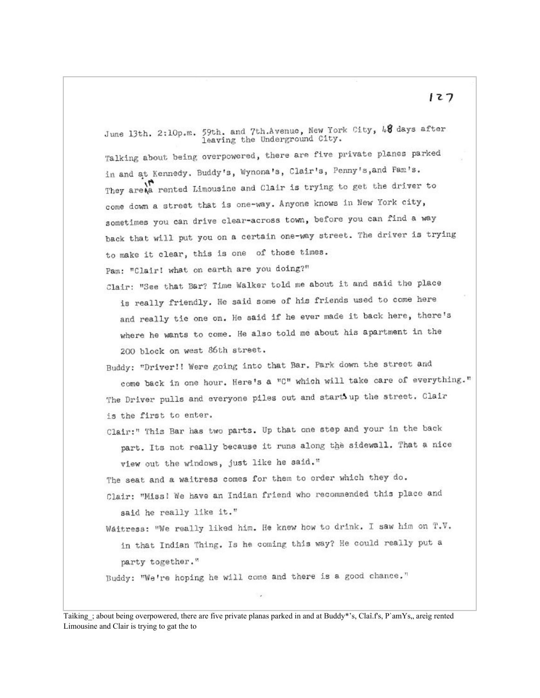June 13th. 2:10p.m. 59th. and 7th.Avenue, New York City, 48 days after leaving the Underground City.

Talking about being overpowered, there are five private planes parked in and at Kennedy. Buddy's, Wynona's, Clair's, Penny's, and Pam's. They are a rented Limousine and Clair is trying to get the driver to come down a street that is one-way. Anyone knows in New York city, sometimes you can drive clear-across town, before you can find a way back that will put you on a certain one-way street. The driver is trying to make it clear, this is one of those times.

Pam: "Clair! what on earth are you doing?"

Clair: "See that Bar? Time Walker told me about it and said the place is really friendly. He said some of his friends used to come here and really tie one on. He said if he ever made it back here, there's where he wants to come. He also told me about his apartment in the 200 block on west 86th street.

Buddy: "Driver!! Were going into that Bar. Park down the street and come back in one hour. Here's a "C" which will take care of everything." The Driver pulls and everyone piles out and start up the street. Clair is the first to enter.

Clair:" This Bar has two parts. Up that one step and your in the back part. Its not really because it runs along the sidewall. That a nice view out the windows, just like he said."

The seat and a waitress comes for them to order which they do.

- Clair: "Miss! We have an Indian friend who recommended this place and said he really like it."
- Waitress: "We really liked him. He knew how to drink. I saw him on T.V. in that Indian Thing. Is he coming this way? He could really put a party together."

Buddy: "We're hoping he will come and there is a good chance,"

Taiking : about being overpowered, there are five private planas parked in and at Buddy\*'s, Claî.f's, P'amYs,, areig rented Limousine and Clair is trying to gat the to